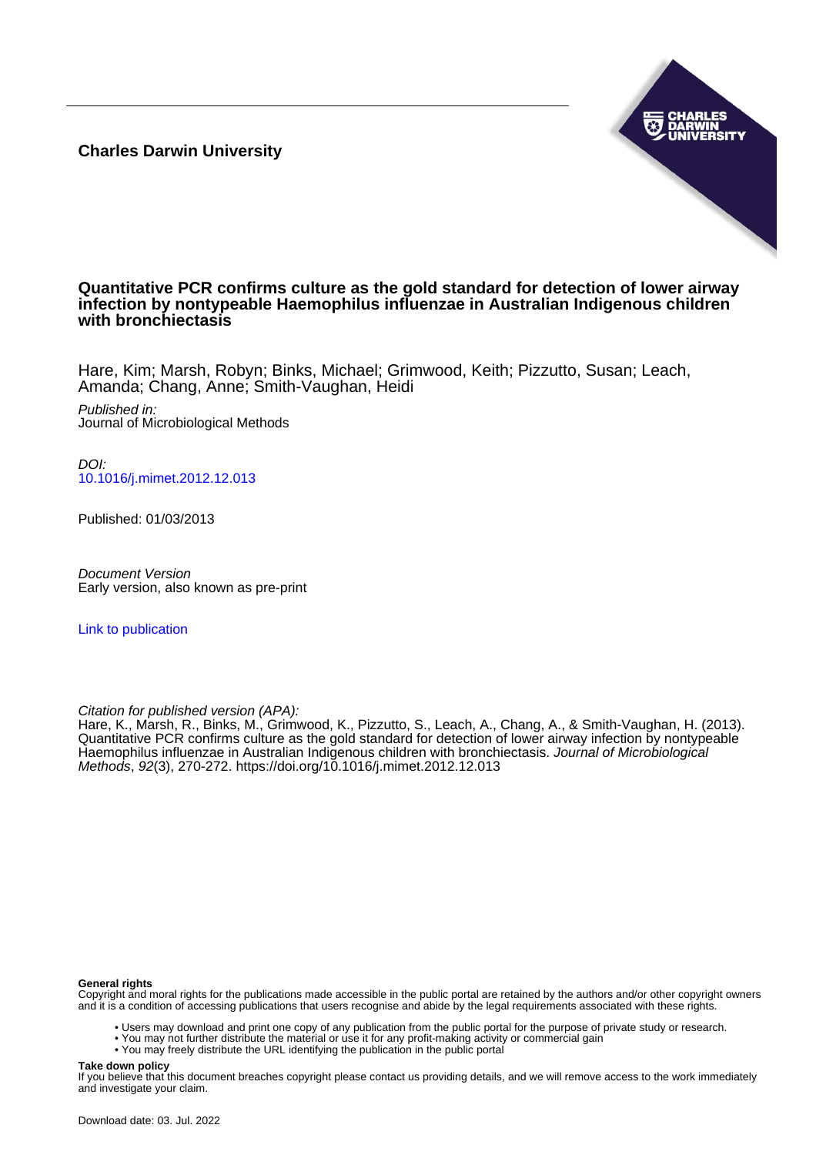**Charles Darwin University**



### **Quantitative PCR confirms culture as the gold standard for detection of lower airway infection by nontypeable Haemophilus influenzae in Australian Indigenous children with bronchiectasis**

Hare, Kim; Marsh, Robyn; Binks, Michael; Grimwood, Keith; Pizzutto, Susan; Leach, Amanda; Chang, Anne; Smith-Vaughan, Heidi

Published in: Journal of Microbiological Methods

DOI: [10.1016/j.mimet.2012.12.013](https://doi.org/10.1016/j.mimet.2012.12.013)

Published: 01/03/2013

Document Version Early version, also known as pre-print

[Link to publication](https://researchers.cdu.edu.au/en/publications/1c0c9d3b-a76a-4bc0-a6fa-434e03f1631c)

Citation for published version (APA):

Hare, K., Marsh, R., Binks, M., Grimwood, K., Pizzutto, S., Leach, A., Chang, A., & Smith-Vaughan, H. (2013). Quantitative PCR confirms culture as the gold standard for detection of lower airway infection by nontypeable Haemophilus influenzae in Australian Indigenous children with bronchiectasis. Journal of Microbiological Methods, 92(3), 270-272.<https://doi.org/10.1016/j.mimet.2012.12.013>

#### **General rights**

Copyright and moral rights for the publications made accessible in the public portal are retained by the authors and/or other copyright owners and it is a condition of accessing publications that users recognise and abide by the legal requirements associated with these rights.

- Users may download and print one copy of any publication from the public portal for the purpose of private study or research.
- You may not further distribute the material or use it for any profit-making activity or commercial gain
- You may freely distribute the URL identifying the publication in the public portal

#### **Take down policy**

If you believe that this document breaches copyright please contact us providing details, and we will remove access to the work immediately and investigate your claim.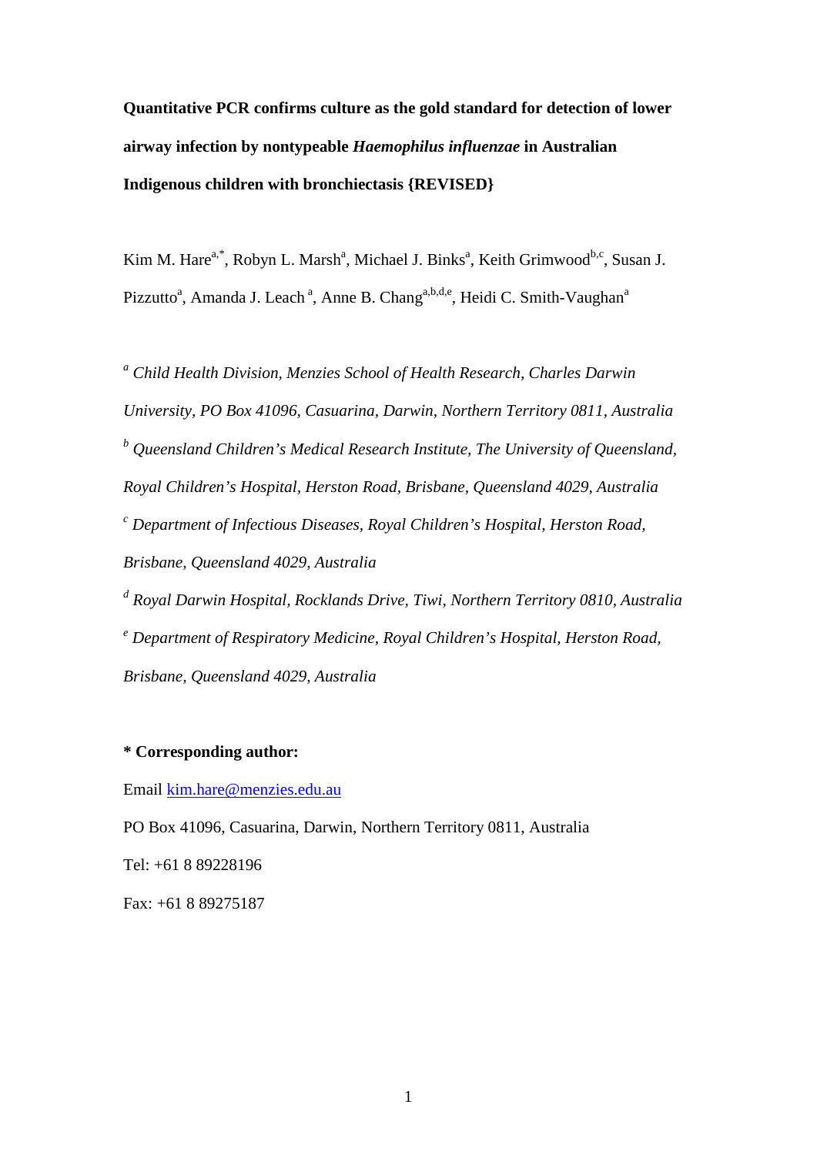**Quantitative PCR confirms culture as the gold standard for detection of lower airway infection by nontypeable** *Haemophilus influenzae* **in Australian Indigenous children with bronchiectasis {REVISED}**

Kim M. Hare<sup>a,\*</sup>, Robyn L. Marsh<sup>a</sup>, Michael J. Binks<sup>a</sup>, Keith Grimwood<sup>b,c</sup>, Susan J. Pizzutto<sup>a</sup>, Amanda J. Leach<sup>a</sup>, Anne B. Chang<sup>a,b,d,e</sup>, Heidi C. Smith-Vaughan<sup>a</sup>

*<sup>a</sup> Child Health Division, Menzies School of Health Research, Charles Darwin University, PO Box 41096, Casuarina, Darwin, Northern Territory 0811, Australia <sup>b</sup> Queensland Children's Medical Research Institute, The University of Queensland, Royal Children's Hospital, Herston Road, Brisbane, Queensland 4029, Australia <sup>c</sup> Department of Infectious Diseases, Royal Children's Hospital, Herston Road, Brisbane, Queensland 4029, Australia <sup>d</sup> Royal Darwin Hospital, Rocklands Drive, Tiwi, Northern Territory 0810, Australia* 

*<sup>e</sup> Department of Respiratory Medicine, Royal Children's Hospital, Herston Road, Brisbane, Queensland 4029, Australia*

## **\* Corresponding author:**

Email [kim.hare@menzies.edu.au](mailto:kim.hare@menzies.edu.au)

PO Box 41096, Casuarina, Darwin, Northern Territory 0811, Australia Tel: +61 8 89228196 Fax: +61 8 89275187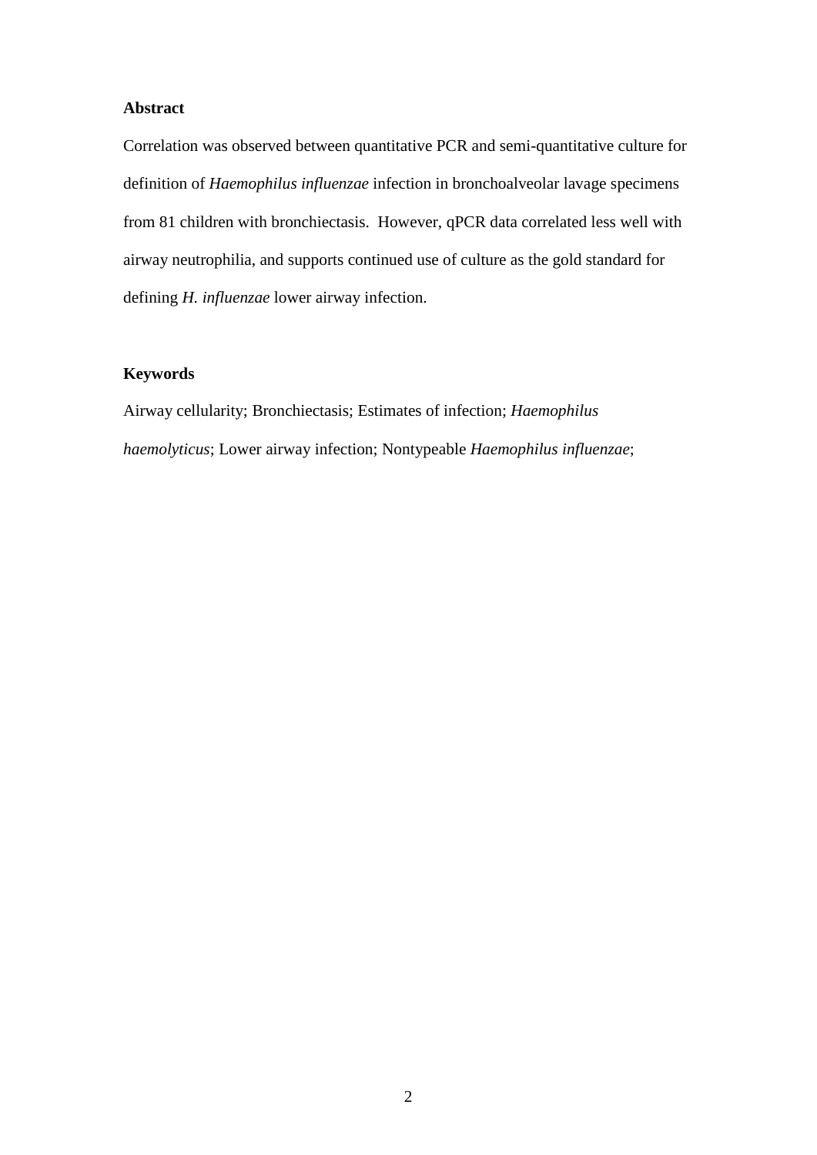## **Abstract**

Correlation was observed between quantitative PCR and semi-quantitative culture for definition of *Haemophilus influenzae* infection in bronchoalveolar lavage specimens from 81 children with bronchiectasis. However, qPCR data correlated less well with airway neutrophilia, and supports continued use of culture as the gold standard for defining *H. influenzae* lower airway infection.

# **Keywords**

Airway cellularity; Bronchiectasis; Estimates of infection; *Haemophilus haemolyticus*; Lower airway infection; Nontypeable *Haemophilus influenzae*;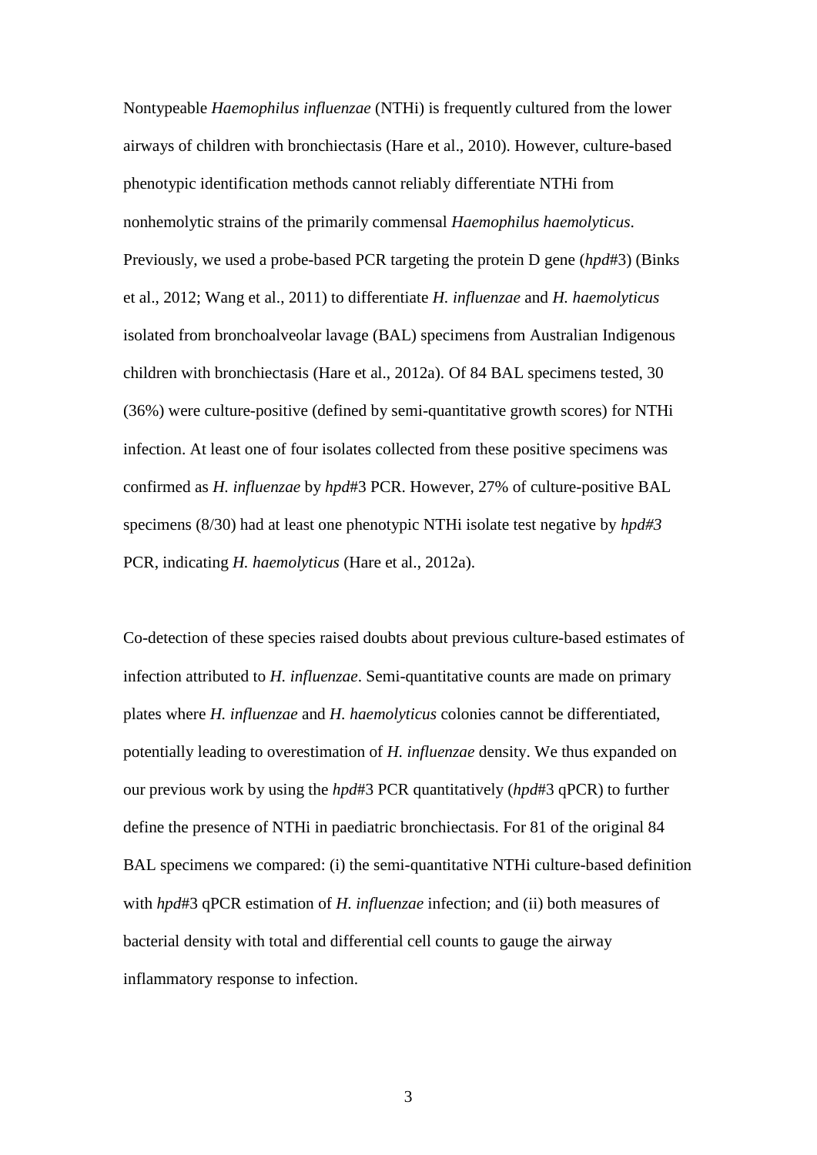Nontypeable *Haemophilus influenzae* (NTHi) is frequently cultured from the lower airways of children with bronchiectasis (Hare et al., 2010). However, culture-based phenotypic identification methods cannot reliably differentiate NTHi from nonhemolytic strains of the primarily commensal *Haemophilus haemolyticus*. Previously, we used a probe-based PCR targeting the protein D gene (*hpd*#3) (Binks et al., 2012; Wang et al., 2011) to differentiate *H. influenzae* and *H. haemolyticus* isolated from bronchoalveolar lavage (BAL) specimens from Australian Indigenous children with bronchiectasis (Hare et al., 2012a). Of 84 BAL specimens tested, 30 (36%) were culture-positive (defined by semi-quantitative growth scores) for NTHi infection. At least one of four isolates collected from these positive specimens was confirmed as *H. influenzae* by *hpd*#3 PCR. However, 27% of culture-positive BAL specimens (8/30) had at least one phenotypic NTHi isolate test negative by *hpd#3* PCR, indicating *H. haemolyticus* (Hare et al., 2012a).

Co-detection of these species raised doubts about previous culture-based estimates of infection attributed to *H. influenzae*. Semi-quantitative counts are made on primary plates where *H. influenzae* and *H. haemolyticus* colonies cannot be differentiated, potentially leading to overestimation of *H. influenzae* density. We thus expanded on our previous work by using the *hpd*#3 PCR quantitatively (*hpd*#3 qPCR) to further define the presence of NTHi in paediatric bronchiectasis. For 81 of the original 84 BAL specimens we compared: (i) the semi-quantitative NTHi culture-based definition with *hpd*#3 qPCR estimation of *H. influenzae* infection; and (ii) both measures of bacterial density with total and differential cell counts to gauge the airway inflammatory response to infection.

3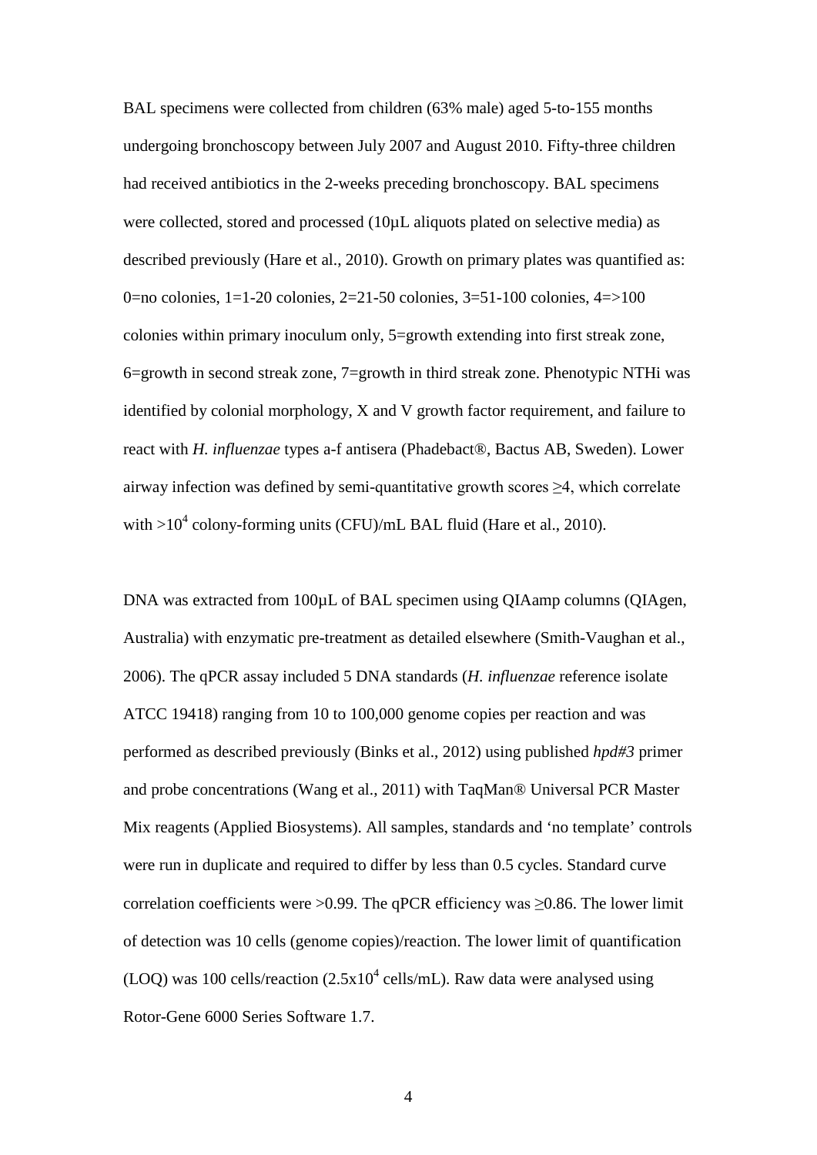BAL specimens were collected from children (63% male) aged 5-to-155 months undergoing bronchoscopy between July 2007 and August 2010. Fifty-three children had received antibiotics in the 2-weeks preceding bronchoscopy. BAL specimens were collected, stored and processed (10µL aliquots plated on selective media) as described previously (Hare et al., 2010). Growth on primary plates was quantified as: 0=no colonies, 1=1-20 colonies, 2=21-50 colonies, 3=51-100 colonies, 4=>100 colonies within primary inoculum only, 5=growth extending into first streak zone, 6=growth in second streak zone, 7=growth in third streak zone. Phenotypic NTHi was identified by colonial morphology, X and V growth factor requirement, and failure to react with *H. influenzae* types a-f antisera (Phadebact®, Bactus AB, Sweden). Lower airway infection was defined by semi-quantitative growth scores  $\geq 4$ , which correlate with  $>10^4$  colony-forming units (CFU)/mL BAL fluid (Hare et al., 2010).

DNA was extracted from 100 $\mu$ L of BAL specimen using QIAamp columns (QIAgen, Australia) with enzymatic pre-treatment as detailed elsewhere (Smith-Vaughan et al., 2006). The qPCR assay included 5 DNA standards (*H. influenzae* reference isolate ATCC 19418) ranging from 10 to 100,000 genome copies per reaction and was performed as described previously (Binks et al., 2012) using published *hpd#3* primer and probe concentrations (Wang et al., 2011) with TaqMan® Universal PCR Master Mix reagents (Applied Biosystems). All samples, standards and 'no template' controls were run in duplicate and required to differ by less than 0.5 cycles. Standard curve correlation coefficients were >0.99. The qPCR efficiency was  $\geq$ 0.86. The lower limit of detection was 10 cells (genome copies)/reaction. The lower limit of quantification (LOQ) was 100 cells/reaction  $(2.5x10^4 \text{ cells/mL})$ . Raw data were analysed using Rotor-Gene 6000 Series Software 1.7.

4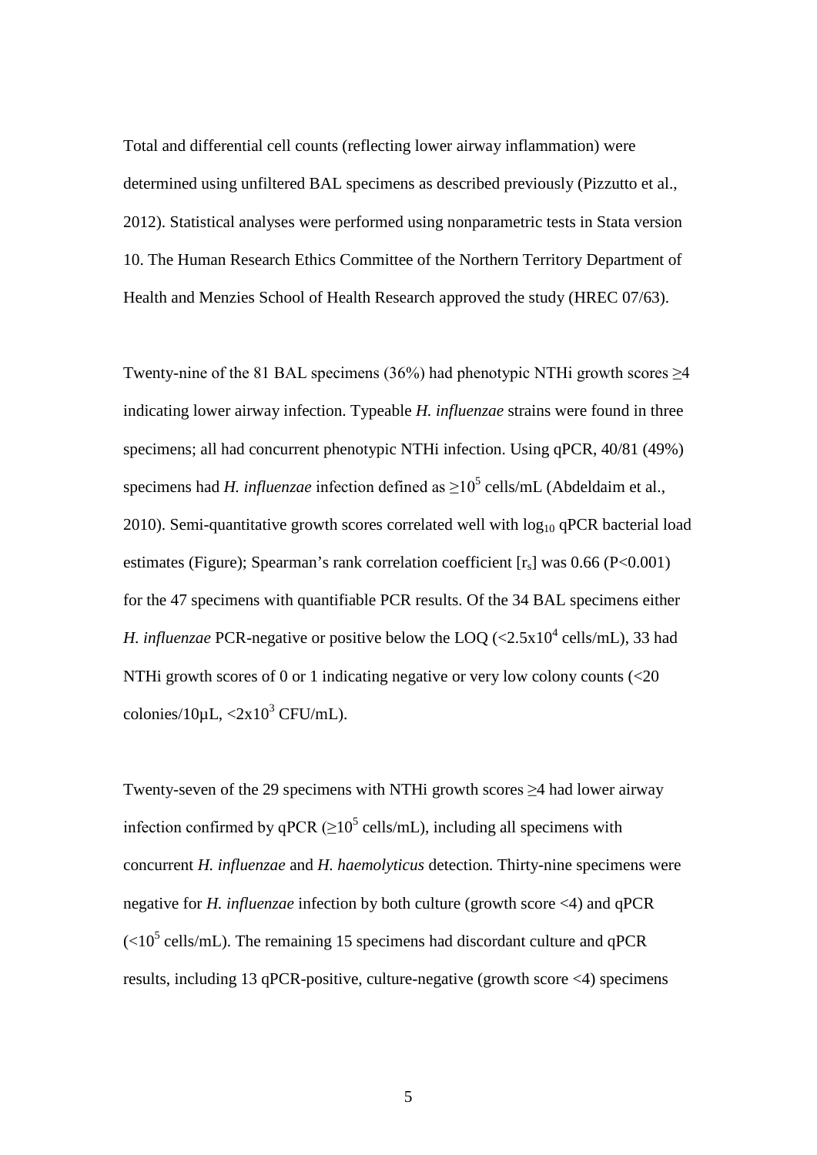Total and differential cell counts (reflecting lower airway inflammation) were determined using unfiltered BAL specimens as described previously (Pizzutto et al., 2012). Statistical analyses were performed using nonparametric tests in Stata version 10. The Human Research Ethics Committee of the Northern Territory Department of Health and Menzies School of Health Research approved the study (HREC 07/63).

Twenty-nine of the 81 BAL specimens (36%) had phenotypic NTHi growth scores  $\geq$ 4 indicating lower airway infection. Typeable *H. influenzae* strains were found in three specimens; all had concurrent phenotypic NTHi infection. Using qPCR, 40/81 (49%) specimens had *H. influenzae* infection defined as  $\geq 10^5$  cells/mL (Abdeldaim et al., 2010). Semi-quantitative growth scores correlated well with  $log_{10}$  qPCR bacterial load estimates (Figure); Spearman's rank correlation coefficient  $[r_s]$  was 0.66 (P<0.001) for the 47 specimens with quantifiable PCR results. Of the 34 BAL specimens either *H. influenzae* PCR-negative or positive below the LOO  $\langle \langle 2.5x10^4 \text{ cells/mL} \rangle$ , 33 had NTHi growth scores of 0 or 1 indicating negative or very low colony counts (<20 colonies/10 $\mu$ L,  $\langle 2x10^3 \text{ CFU/mL} \rangle$ .

Twenty-seven of the 29 specimens with NTHi growth scores ≥4 had lower airway infection confirmed by qPCR ( $>10^5$  cells/mL), including all specimens with concurrent *H. influenzae* and *H. haemolyticus* detection. Thirty-nine specimens were negative for *H. influenzae* infection by both culture (growth score <4) and qPCR  $(<10<sup>5</sup>$  cells/mL). The remaining 15 specimens had discordant culture and qPCR results, including 13 qPCR-positive, culture-negative (growth score <4) specimens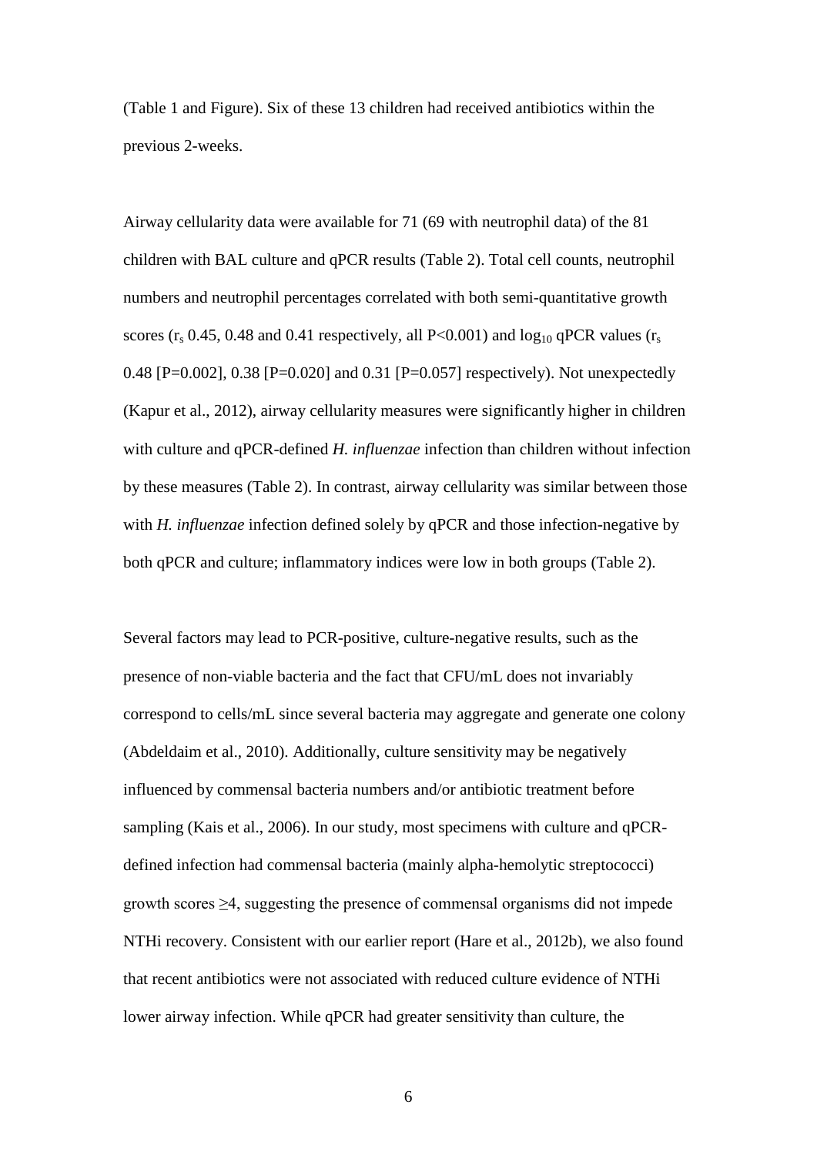(Table 1 and Figure). Six of these 13 children had received antibiotics within the previous 2-weeks.

Airway cellularity data were available for 71 (69 with neutrophil data) of the 81 children with BAL culture and qPCR results (Table 2). Total cell counts, neutrophil numbers and neutrophil percentages correlated with both semi-quantitative growth scores ( $r_s$  0.45, 0.48 and 0.41 respectively, all P<0.001) and  $\log_{10}$  qPCR values ( $r_s$ ) 0.48 [P=0.002], 0.38 [P=0.020] and 0.31 [P=0.057] respectively). Not unexpectedly (Kapur et al., 2012), airway cellularity measures were significantly higher in children with culture and qPCR-defined *H. influenzae* infection than children without infection by these measures (Table 2). In contrast, airway cellularity was similar between those with *H. influenzae* infection defined solely by qPCR and those infection-negative by both qPCR and culture; inflammatory indices were low in both groups (Table 2).

Several factors may lead to PCR-positive, culture-negative results, such as the presence of non-viable bacteria and the fact that CFU/mL does not invariably correspond to cells/mL since several bacteria may aggregate and generate one colony (Abdeldaim et al., 2010). Additionally, culture sensitivity may be negatively influenced by commensal bacteria numbers and/or antibiotic treatment before sampling (Kais et al., 2006). In our study, most specimens with culture and qPCRdefined infection had commensal bacteria (mainly alpha-hemolytic streptococci) growth scores ≥4, suggesting the presence of commensal organisms did not impede NTHi recovery. Consistent with our earlier report (Hare et al., 2012b), we also found that recent antibiotics were not associated with reduced culture evidence of NTHi lower airway infection. While qPCR had greater sensitivity than culture, the

6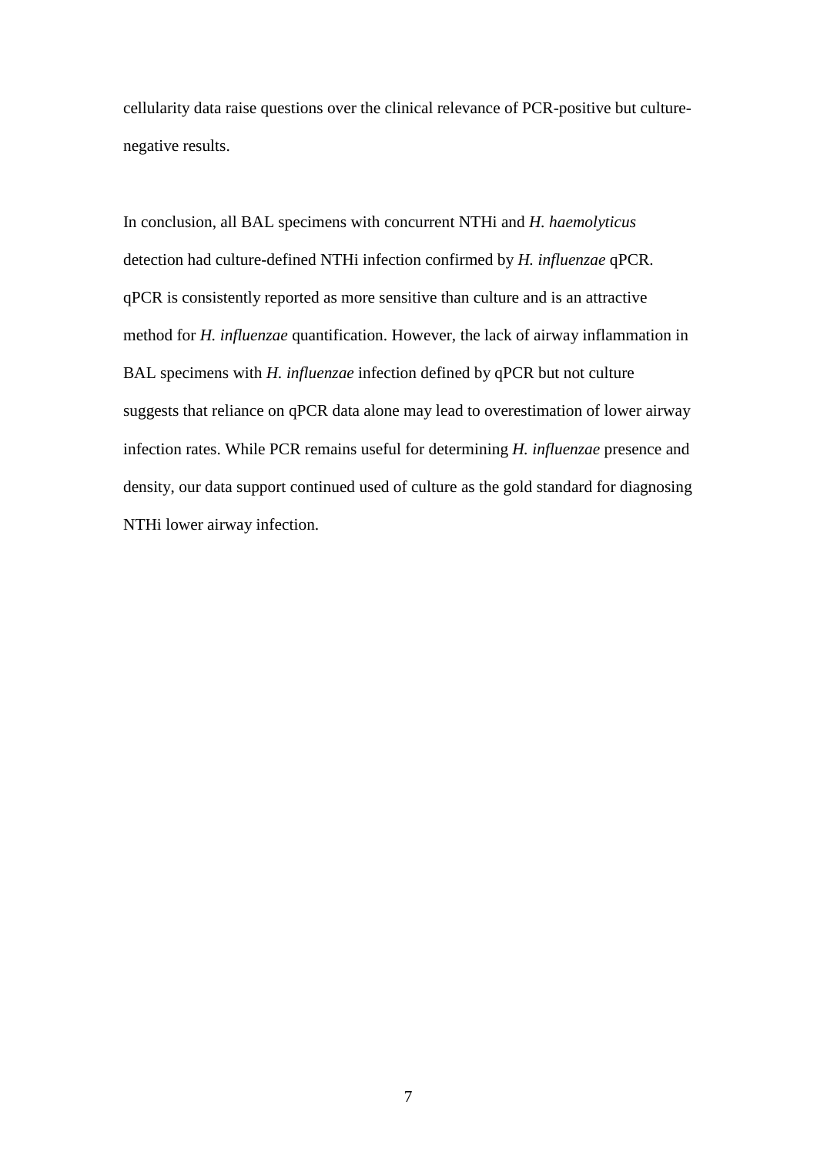cellularity data raise questions over the clinical relevance of PCR-positive but culturenegative results.

In conclusion, all BAL specimens with concurrent NTHi and *H. haemolyticus* detection had culture-defined NTHi infection confirmed by *H. influenzae* qPCR. qPCR is consistently reported as more sensitive than culture and is an attractive method for *H. influenzae* quantification. However, the lack of airway inflammation in BAL specimens with *H. influenzae* infection defined by qPCR but not culture suggests that reliance on qPCR data alone may lead to overestimation of lower airway infection rates. While PCR remains useful for determining *H. influenzae* presence and density, our data support continued used of culture as the gold standard for diagnosing NTHi lower airway infection.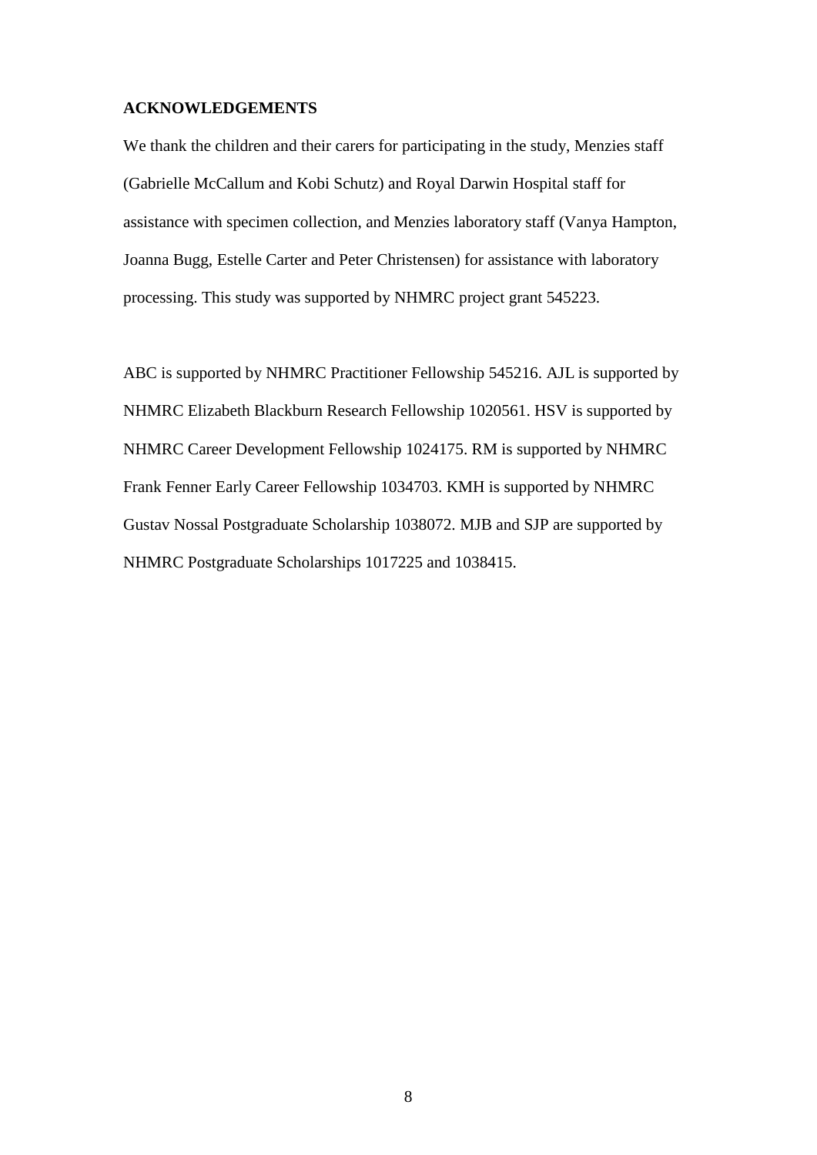### **ACKNOWLEDGEMENTS**

We thank the children and their carers for participating in the study, Menzies staff (Gabrielle McCallum and Kobi Schutz) and Royal Darwin Hospital staff for assistance with specimen collection, and Menzies laboratory staff (Vanya Hampton, Joanna Bugg, Estelle Carter and Peter Christensen) for assistance with laboratory processing. This study was supported by NHMRC project grant 545223.

ABC is supported by NHMRC Practitioner Fellowship 545216. AJL is supported by NHMRC Elizabeth Blackburn Research Fellowship 1020561. HSV is supported by NHMRC Career Development Fellowship 1024175. RM is supported by NHMRC Frank Fenner Early Career Fellowship 1034703. KMH is supported by NHMRC Gustav Nossal Postgraduate Scholarship 1038072. MJB and SJP are supported by NHMRC Postgraduate Scholarships 1017225 and 1038415.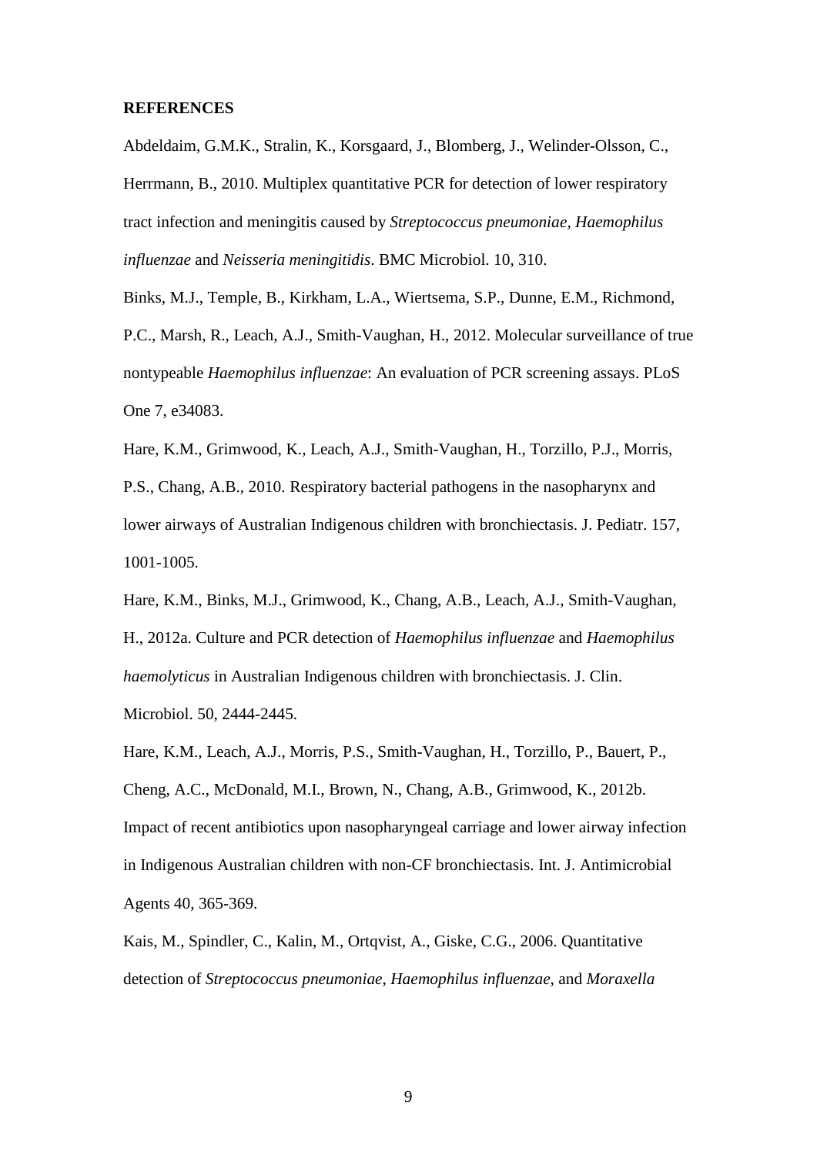#### **REFERENCES**

Abdeldaim, G.M.K., Stralin, K., Korsgaard, J., Blomberg, J., Welinder-Olsson, C., Herrmann, B., 2010. Multiplex quantitative PCR for detection of lower respiratory tract infection and meningitis caused by *Streptococcus pneumoniae*, *Haemophilus influenzae* and *Neisseria meningitidis*. BMC Microbiol. 10, 310.

Binks, M.J., Temple, B., Kirkham, L.A., Wiertsema, S.P., Dunne, E.M., Richmond, P.C., Marsh, R., Leach, A.J., Smith-Vaughan, H., 2012. Molecular surveillance of true nontypeable *Haemophilus influenzae*: An evaluation of PCR screening assays. PLoS One 7, e34083.

Hare, K.M., Grimwood, K., Leach, A.J., Smith-Vaughan, H., Torzillo, P.J., Morris, P.S., Chang, A.B., 2010. Respiratory bacterial pathogens in the nasopharynx and lower airways of Australian Indigenous children with bronchiectasis. J. Pediatr. 157, 1001-1005.

Hare, K.M., Binks, M.J., Grimwood, K., Chang, A.B., Leach, A.J., Smith-Vaughan, H., 2012a. Culture and PCR detection of *Haemophilus influenzae* and *Haemophilus haemolyticus* in Australian Indigenous children with bronchiectasis. J. Clin. Microbiol. 50, 2444-2445.

Hare, K.M., Leach, A.J., Morris, P.S., Smith-Vaughan, H., Torzillo, P., Bauert, P., Cheng, A.C., McDonald, M.I., Brown, N., Chang, A.B., Grimwood, K., 2012b. Impact of recent antibiotics upon nasopharyngeal carriage and lower airway infection in Indigenous Australian children with non-CF bronchiectasis. Int. J. Antimicrobial Agents 40, 365-369.

Kais, M., Spindler, C., Kalin, M., Ortqvist, A., Giske, C.G., 2006. Quantitative detection of *Streptococcus pneumoniae*, *Haemophilus influenzae*, and *Moraxella*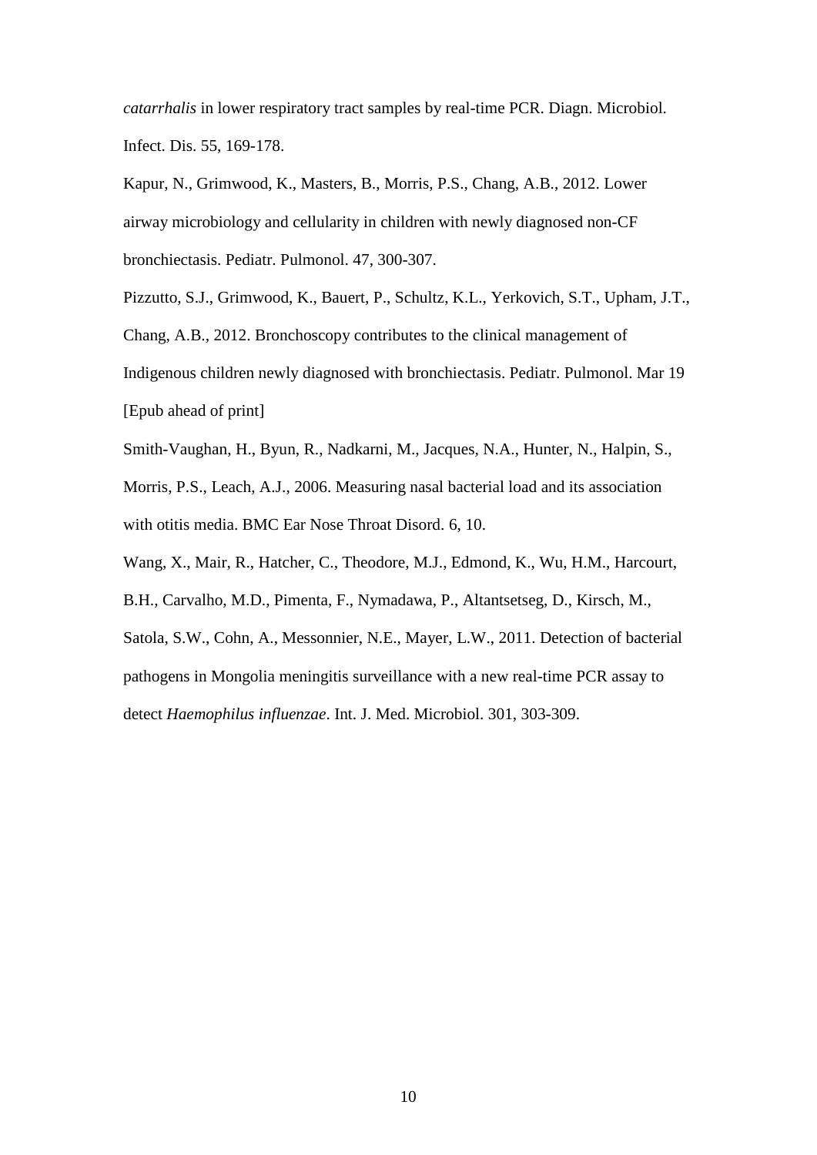*catarrhalis* in lower respiratory tract samples by real-time PCR. Diagn. Microbiol. Infect. Dis. 55, 169-178.

Kapur, N., Grimwood, K., Masters, B., Morris, P.S., Chang, A.B., 2012. Lower airway microbiology and cellularity in children with newly diagnosed non-CF bronchiectasis. Pediatr. Pulmonol. 47, 300-307.

Pizzutto, S.J., Grimwood, K., Bauert, P., Schultz, K.L., Yerkovich, S.T., Upham, J.T., Chang, A.B., 2012. Bronchoscopy contributes to the clinical management of Indigenous children newly diagnosed with bronchiectasis. Pediatr. Pulmonol. Mar 19 [Epub ahead of print]

Smith-Vaughan, H., Byun, R., Nadkarni, M., Jacques, N.A., Hunter, N., Halpin, S., Morris, P.S., Leach, A.J., 2006. Measuring nasal bacterial load and its association with otitis media. BMC Ear Nose Throat Disord. 6, 10.

Wang, X., Mair, R., Hatcher, C., Theodore, M.J., Edmond, K., Wu, H.M., Harcourt,

B.H., Carvalho, M.D., Pimenta, F., Nymadawa, P., Altantsetseg, D., Kirsch, M.,

Satola, S.W., Cohn, A., Messonnier, N.E., Mayer, L.W., 2011. Detection of bacterial pathogens in Mongolia meningitis surveillance with a new real-time PCR assay to detect *Haemophilus influenzae*. Int. J. Med. Microbiol. 301, 303-309.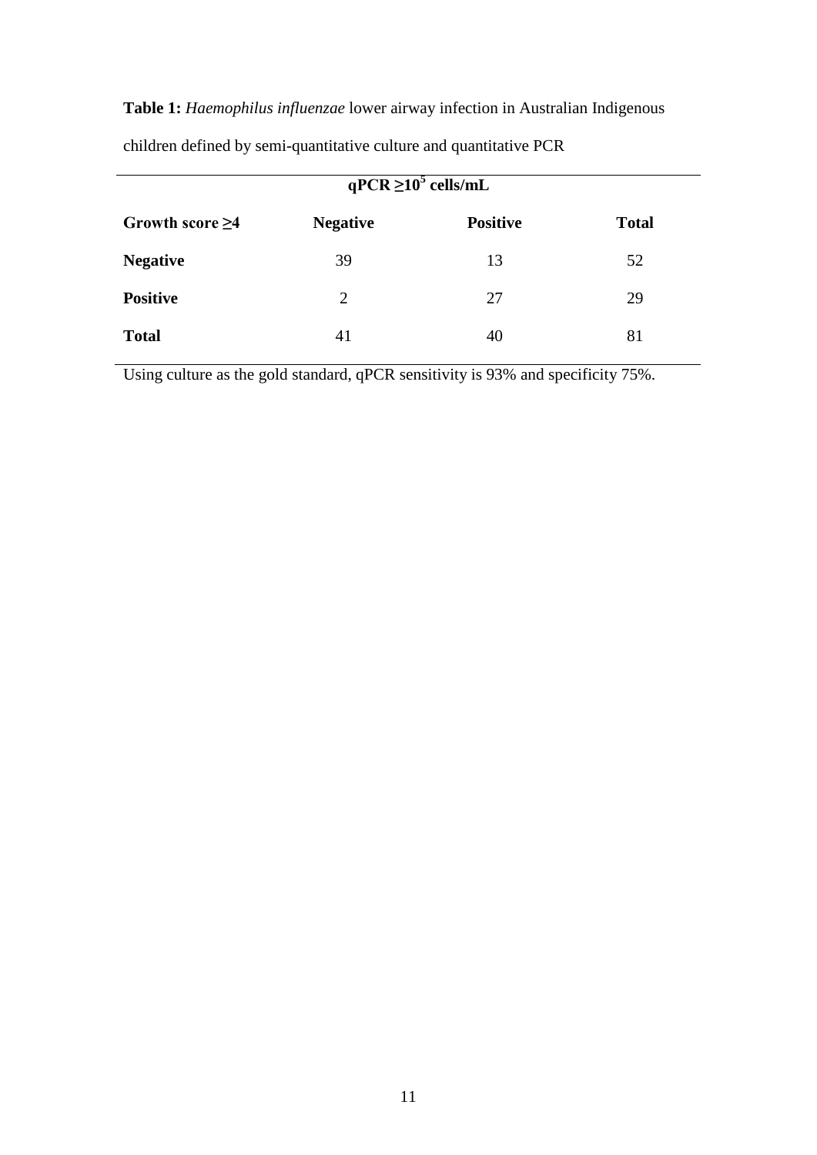**Table 1:** *Haemophilus influenzae* lower airway infection in Australian Indigenous

| $qPCR \ge 10^5$ cells/mL |                 |                 |              |  |  |
|--------------------------|-----------------|-----------------|--------------|--|--|
| Growth score $\geq 4$    | <b>Negative</b> | <b>Positive</b> | <b>Total</b> |  |  |
| <b>Negative</b>          | 39              | 13              | 52           |  |  |
| <b>Positive</b>          | $\overline{2}$  | 27              | 29           |  |  |
| <b>Total</b>             | 41              | 40              | 81           |  |  |

children defined by semi-quantitative culture and quantitative PCR

Using culture as the gold standard, qPCR sensitivity is 93% and specificity 75%.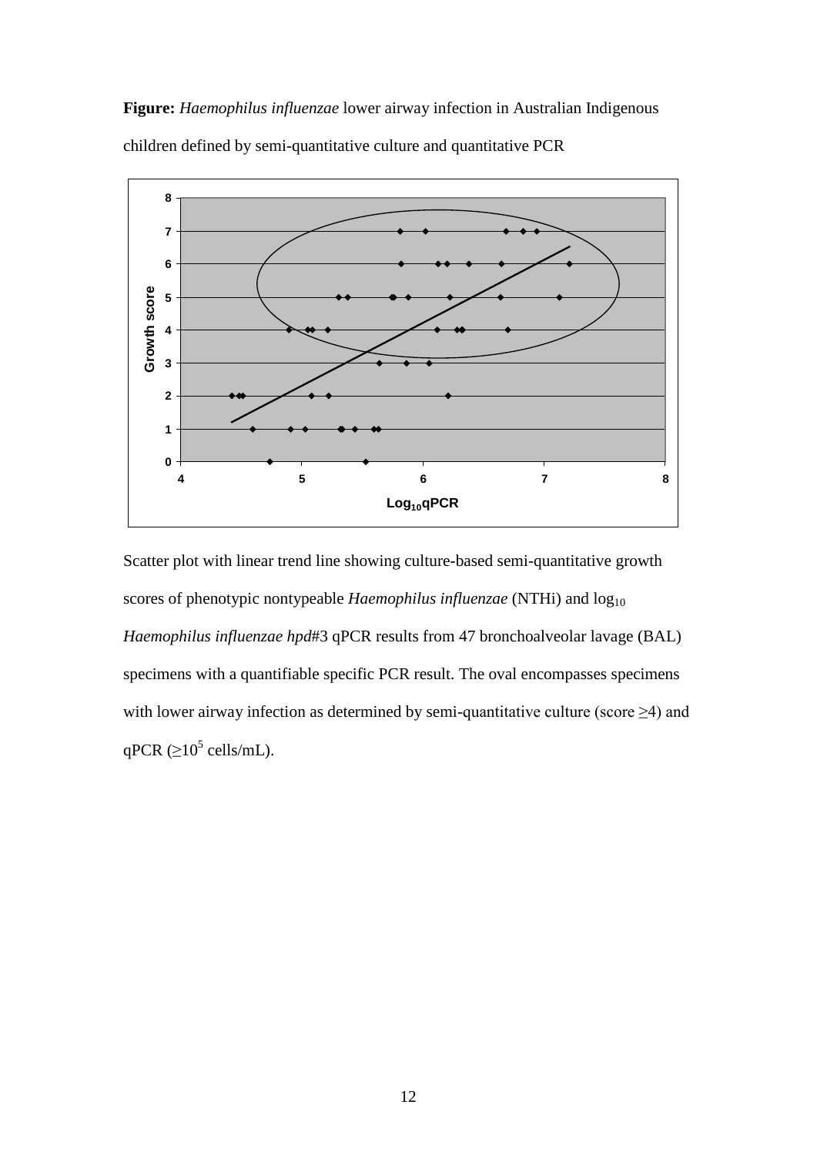**Figure:** *Haemophilus influenzae* lower airway infection in Australian Indigenous children defined by semi-quantitative culture and quantitative PCR



Scatter plot with linear trend line showing culture-based semi-quantitative growth scores of phenotypic nontypeable *Haemophilus influenzae* (NTHi) and  $log_{10}$ *Haemophilus influenzae hpd*#3 qPCR results from 47 bronchoalveolar lavage (BAL) specimens with a quantifiable specific PCR result. The oval encompasses specimens with lower airway infection as determined by semi-quantitative culture (score ≥4) and qPCR ( $\geq$ 10<sup>5</sup> cells/mL).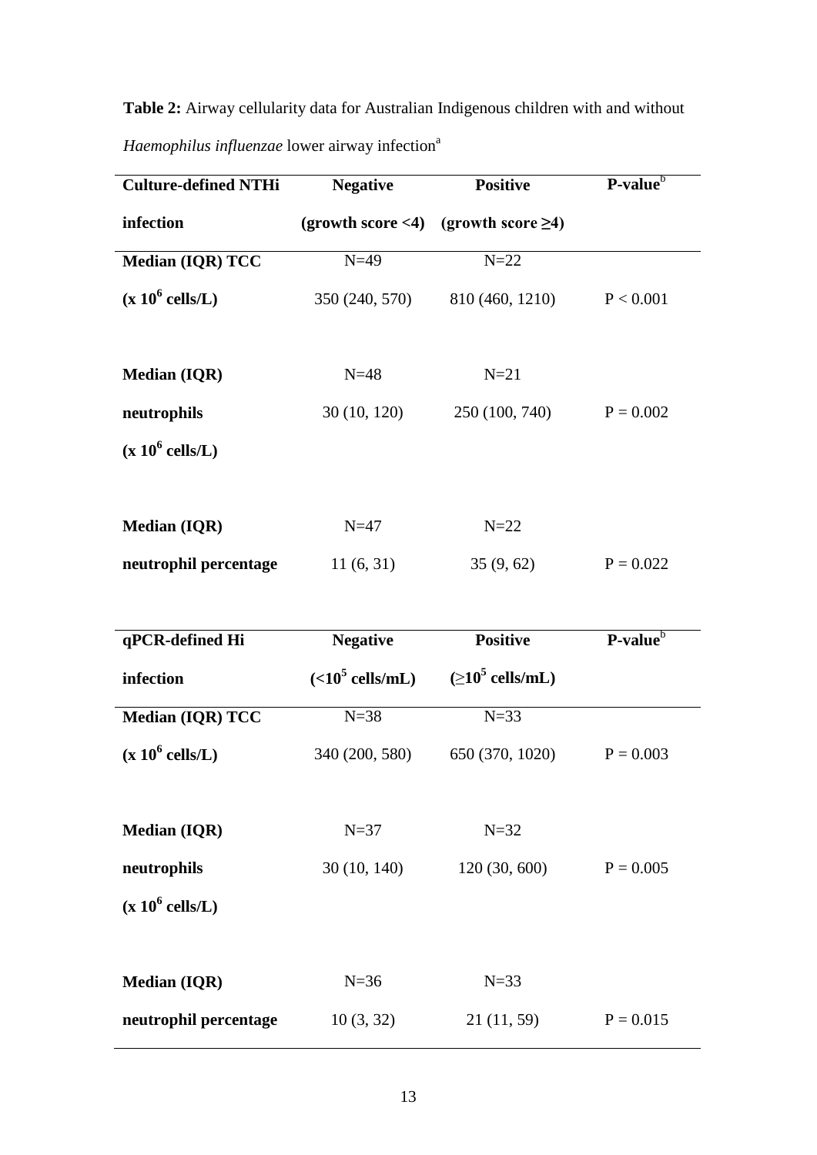**Table 2:** Airway cellularity data for Australian Indigenous children with and without *Haemophilus influenzae* lower airway infection<sup>a</sup>

| <b>Culture-defined NTHi</b> | <b>Negative</b>    | <b>Positive</b>                  | P-value <sup>b</sup> |
|-----------------------------|--------------------|----------------------------------|----------------------|
| infection                   | (growth score < 4) | (growth score $\geq 4$ )         |                      |
| Median (IQR) TCC            | $N=49$             | $N=22$                           |                      |
| $(x 10^6$ cells/L)          | 350 (240, 570)     | 810 (460, 1210)                  | P < 0.001            |
|                             |                    |                                  |                      |
| <b>Median (IQR)</b>         | $N=48$             | $N=21$                           |                      |
| neutrophils                 | 30 (10, 120)       | 250 (100, 740)                   | $P = 0.002$          |
| $(x 10^6$ cells/L)          |                    |                                  |                      |
|                             |                    |                                  |                      |
| <b>Median (IQR)</b>         | $N=47$             | $N=22$                           |                      |
| neutrophil percentage       | 11(6, 31)          | 35(9, 62)                        | $P = 0.022$          |
|                             |                    |                                  |                      |
|                             |                    |                                  |                      |
| qPCR-defined Hi             | <b>Negative</b>    | <b>Positive</b>                  | $P-value^b$          |
| infection                   | $(<105$ cells/mL)  | $( \geq 10^5 \text{ cells/mL} )$ |                      |
| Median (IQR) TCC            | $N=38$             | $N=33$                           |                      |
| $(x 10^6$ cells/L)          | 340 (200, 580)     | 650 (370, 1020)                  | $P = 0.003$          |
|                             |                    |                                  |                      |
| <b>Median (IQR)</b>         | $N=37$             | $N=32$                           |                      |
| neutrophils                 | 30(10, 140)        | 120(30, 600)                     | $P = 0.005$          |
| $(x 10^6$ cells/L)          |                    |                                  |                      |
|                             |                    |                                  |                      |
| <b>Median (IQR)</b>         | $N=36$             | $N=33$                           |                      |